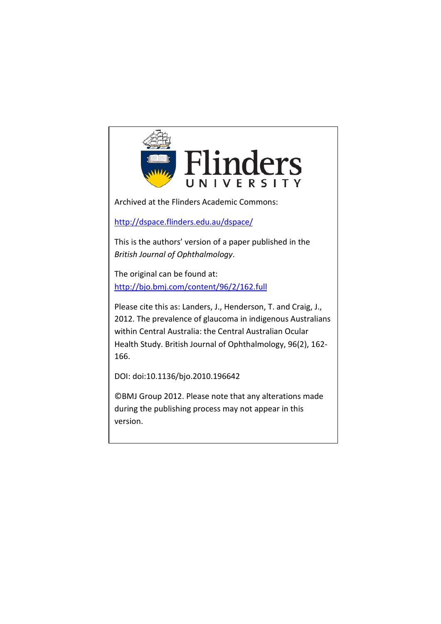

Archived at the Flinders Academic Commons:

<http://dspace.flinders.edu.au/dspace/>

This is the authors' version of a paper published in the *British Journal of Ophthalmology*.

The original can be found at: <http://bjo.bmj.com/content/96/2/162.full>

Please cite this as: Landers, J., Henderson, T. and Craig, J., 2012. The prevalence of glaucoma in indigenous Australians within Central Australia: the Central Australian Ocular Health Study. British Journal of Ophthalmology, 96(2), 162- 166.

DOI: doi:10.1136/bjo.2010.196642

©BMJ Group 2012. Please note that any alterations made during the publishing process may not appear in this version.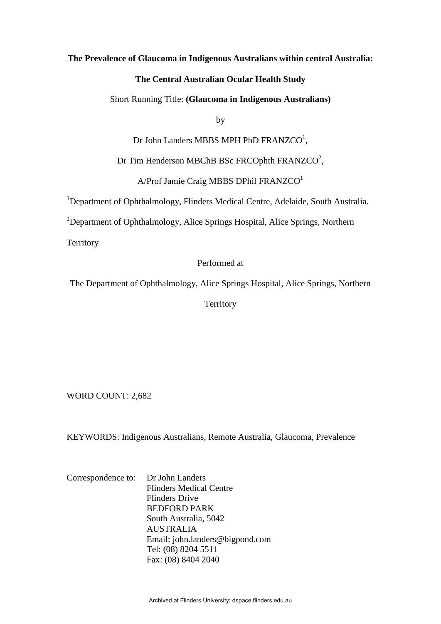### **The Prevalence of Glaucoma in Indigenous Australians within central Australia:**

# **The Central Australian Ocular Health Study**

#### Short Running Title: **(Glaucoma in Indigenous Australians)**

by

Dr John Landers MBBS MPH PhD FRANZCO<sup>1</sup>,

Dr Tim Henderson MBChB BSc FRCOphth FRANZCO<sup>2</sup>,

 $A/Prot$  Jamie Craig MBBS DPhil FRANZCO<sup>1</sup>

<sup>1</sup>Department of Ophthalmology, Flinders Medical Centre, Adelaide, South Australia.

<sup>2</sup>Department of Ophthalmology, Alice Springs Hospital, Alice Springs, Northern

**Territory** 

# Performed at

The Department of Ophthalmology, Alice Springs Hospital, Alice Springs, Northern

**Territory** 

WORD COUNT: 2,682

KEYWORDS: Indigenous Australians, Remote Australia, Glaucoma, Prevalence

Correspondence to: Dr John Landers Flinders Medical Centre Flinders Drive BEDFORD PARK South Australia, 5042 AUSTRALIA Email: john.landers@bigpond.com Tel: (08) 8204 5511 Fax: (08) 8404 2040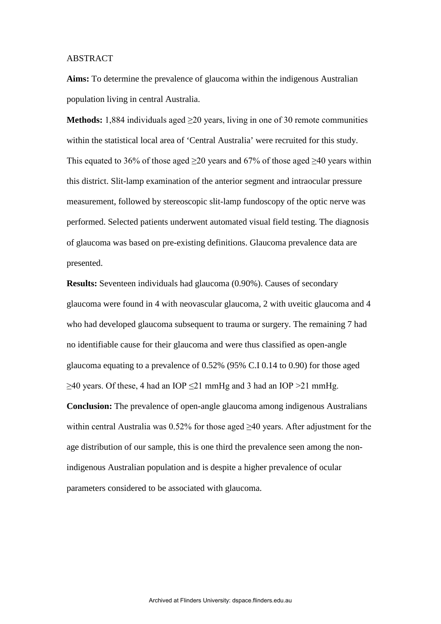### ABSTRACT

**Aims:** To determine the prevalence of glaucoma within the indigenous Australian population living in central Australia.

**Methods:** 1,884 individuals aged ≥20 years, living in one of 30 remote communities within the statistical local area of 'Central Australia' were recruited for this study. This equated to 36% of those aged  $\geq$ 20 years and 67% of those aged  $\geq$ 40 years within this district. Slit-lamp examination of the anterior segment and intraocular pressure measurement, followed by stereoscopic slit-lamp fundoscopy of the optic nerve was performed. Selected patients underwent automated visual field testing. The diagnosis of glaucoma was based on pre-existing definitions. Glaucoma prevalence data are presented.

**Results:** Seventeen individuals had glaucoma (0.90%). Causes of secondary glaucoma were found in 4 with neovascular glaucoma, 2 with uveitic glaucoma and 4 who had developed glaucoma subsequent to trauma or surgery. The remaining 7 had no identifiable cause for their glaucoma and were thus classified as open-angle glaucoma equating to a prevalence of 0.52% (95% C.I 0.14 to 0.90) for those aged  $\geq$ 40 years. Of these, 4 had an IOP  $\leq$ 21 mmHg and 3 had an IOP  $>$ 21 mmHg. **Conclusion:** The prevalence of open-angle glaucoma among indigenous Australians within central Australia was 0.52% for those aged  $\geq$ 40 years. After adjustment for the age distribution of our sample, this is one third the prevalence seen among the nonindigenous Australian population and is despite a higher prevalence of ocular parameters considered to be associated with glaucoma.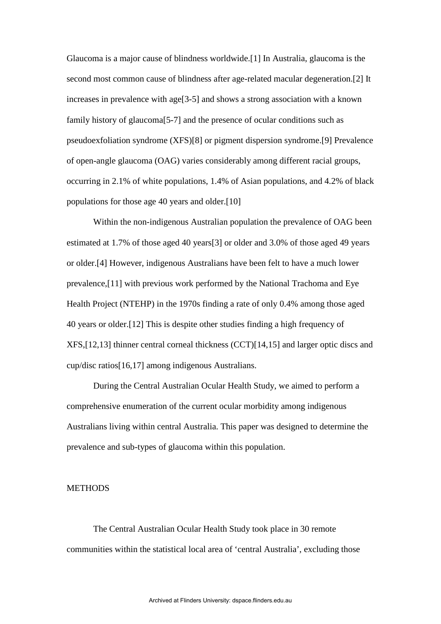Glaucoma is a major cause of blindness worldwide.[1] In Australia, glaucoma is the second most common cause of blindness after age-related macular degeneration.[2] It increases in prevalence with age[3-5] and shows a strong association with a known family history of glaucoma[5-7] and the presence of ocular conditions such as pseudoexfoliation syndrome (XFS)[8] or pigment dispersion syndrome.[9] Prevalence of open-angle glaucoma (OAG) varies considerably among different racial groups, occurring in 2.1% of white populations, 1.4% of Asian populations, and 4.2% of black populations for those age 40 years and older.[10]

Within the non-indigenous Australian population the prevalence of OAG been estimated at 1.7% of those aged 40 years[3] or older and 3.0% of those aged 49 years or older.[4] However, indigenous Australians have been felt to have a much lower prevalence,[11] with previous work performed by the National Trachoma and Eye Health Project (NTEHP) in the 1970s finding a rate of only 0.4% among those aged 40 years or older.[12] This is despite other studies finding a high frequency of XFS,[12,13] thinner central corneal thickness (CCT)[14,15] and larger optic discs and cup/disc ratios[16,17] among indigenous Australians.

During the Central Australian Ocular Health Study, we aimed to perform a comprehensive enumeration of the current ocular morbidity among indigenous Australians living within central Australia. This paper was designed to determine the prevalence and sub-types of glaucoma within this population.

### **METHODS**

The Central Australian Ocular Health Study took place in 30 remote communities within the statistical local area of 'central Australia', excluding those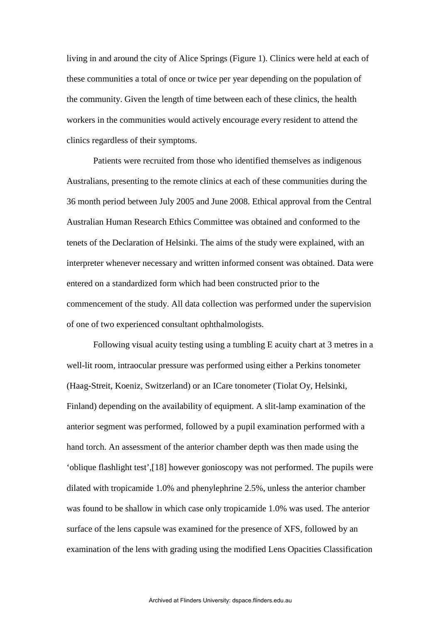living in and around the city of Alice Springs (Figure 1). Clinics were held at each of these communities a total of once or twice per year depending on the population of the community. Given the length of time between each of these clinics, the health workers in the communities would actively encourage every resident to attend the clinics regardless of their symptoms.

Patients were recruited from those who identified themselves as indigenous Australians, presenting to the remote clinics at each of these communities during the 36 month period between July 2005 and June 2008. Ethical approval from the Central Australian Human Research Ethics Committee was obtained and conformed to the tenets of the Declaration of Helsinki. The aims of the study were explained, with an interpreter whenever necessary and written informed consent was obtained. Data were entered on a standardized form which had been constructed prior to the commencement of the study. All data collection was performed under the supervision of one of two experienced consultant ophthalmologists.

Following visual acuity testing using a tumbling E acuity chart at 3 metres in a well-lit room, intraocular pressure was performed using either a Perkins tonometer (Haag-Streit, Koeniz, Switzerland) or an ICare tonometer (Tiolat Oy, Helsinki, Finland) depending on the availability of equipment. A slit-lamp examination of the anterior segment was performed, followed by a pupil examination performed with a hand torch. An assessment of the anterior chamber depth was then made using the 'oblique flashlight test',[18] however gonioscopy was not performed. The pupils were dilated with tropicamide 1.0% and phenylephrine 2.5%, unless the anterior chamber was found to be shallow in which case only tropicamide 1.0% was used. The anterior surface of the lens capsule was examined for the presence of XFS, followed by an examination of the lens with grading using the modified Lens Opacities Classification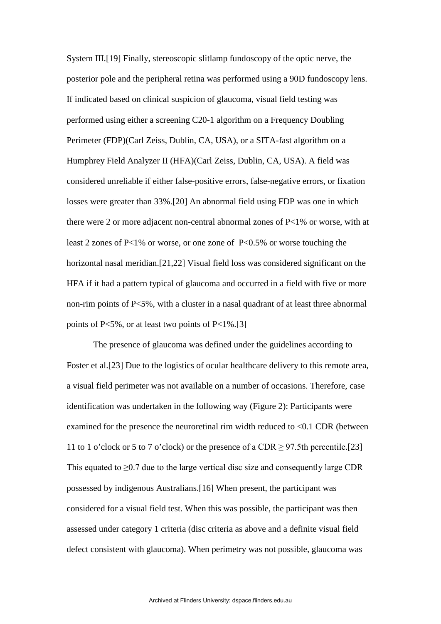System III.[19] Finally, stereoscopic slitlamp fundoscopy of the optic nerve, the posterior pole and the peripheral retina was performed using a 90D fundoscopy lens. If indicated based on clinical suspicion of glaucoma, visual field testing was performed using either a screening C20-1 algorithm on a Frequency Doubling Perimeter (FDP)(Carl Zeiss, Dublin, CA, USA), or a SITA-fast algorithm on a Humphrey Field Analyzer II (HFA)(Carl Zeiss, Dublin, CA, USA). A field was considered unreliable if either false-positive errors, false-negative errors, or fixation losses were greater than 33%.[20] An abnormal field using FDP was one in which there were 2 or more adjacent non-central abnormal zones of P<1% or worse, with at least 2 zones of P<1% or worse, or one zone of P<0.5% or worse touching the horizontal nasal meridian.[21,22] Visual field loss was considered significant on the HFA if it had a pattern typical of glaucoma and occurred in a field with five or more non-rim points of P<5%, with a cluster in a nasal quadrant of at least three abnormal points of P<5%, or at least two points of P<1%.[3]

The presence of glaucoma was defined under the guidelines according to Foster et al.[23] Due to the logistics of ocular healthcare delivery to this remote area, a visual field perimeter was not available on a number of occasions. Therefore, case identification was undertaken in the following way (Figure 2): Participants were examined for the presence the neuroretinal rim width reduced to <0.1 CDR (between 11 to 1 o'clock or 5 to 7 o'clock) or the presence of a CDR  $\geq$  97.5th percentile.[23] This equated to  $\geq 0.7$  due to the large vertical disc size and consequently large CDR possessed by indigenous Australians.[16] When present, the participant was considered for a visual field test. When this was possible, the participant was then assessed under category 1 criteria (disc criteria as above and a definite visual field defect consistent with glaucoma). When perimetry was not possible, glaucoma was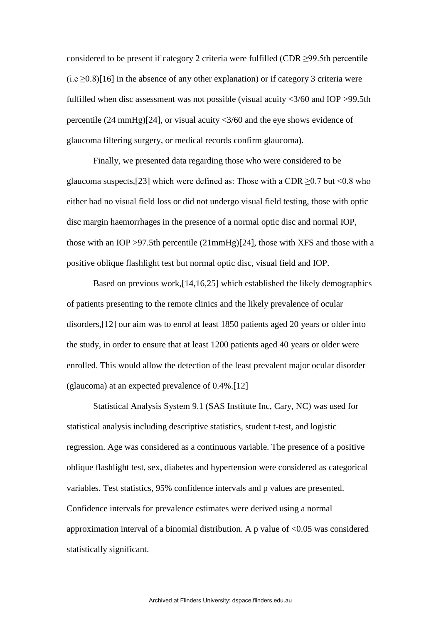considered to be present if category 2 criteria were fulfilled (CDR ≥99.5th percentile  $(i.e. > 0.8)$ [16] in the absence of any other explanation) or if category 3 criteria were fulfilled when disc assessment was not possible (visual acuity <3/60 and IOP >99.5th percentile (24 mmHg)[24], or visual acuity <3/60 and the eye shows evidence of glaucoma filtering surgery, or medical records confirm glaucoma).

Finally, we presented data regarding those who were considered to be glaucoma suspects,[23] which were defined as: Those with a CDR  $\geq$ 0.7 but <0.8 who either had no visual field loss or did not undergo visual field testing, those with optic disc margin haemorrhages in the presence of a normal optic disc and normal IOP, those with an IOP >97.5th percentile (21mmHg)[24], those with XFS and those with a positive oblique flashlight test but normal optic disc, visual field and IOP.

Based on previous work,[14,16,25] which established the likely demographics of patients presenting to the remote clinics and the likely prevalence of ocular disorders,[12] our aim was to enrol at least 1850 patients aged 20 years or older into the study, in order to ensure that at least 1200 patients aged 40 years or older were enrolled. This would allow the detection of the least prevalent major ocular disorder (glaucoma) at an expected prevalence of 0.4%.[12]

Statistical Analysis System 9.1 (SAS Institute Inc, Cary, NC) was used for statistical analysis including descriptive statistics, student t-test, and logistic regression. Age was considered as a continuous variable. The presence of a positive oblique flashlight test, sex, diabetes and hypertension were considered as categorical variables. Test statistics, 95% confidence intervals and p values are presented. Confidence intervals for prevalence estimates were derived using a normal approximation interval of a binomial distribution. A p value of  $\langle 0.05 \rangle$  was considered statistically significant.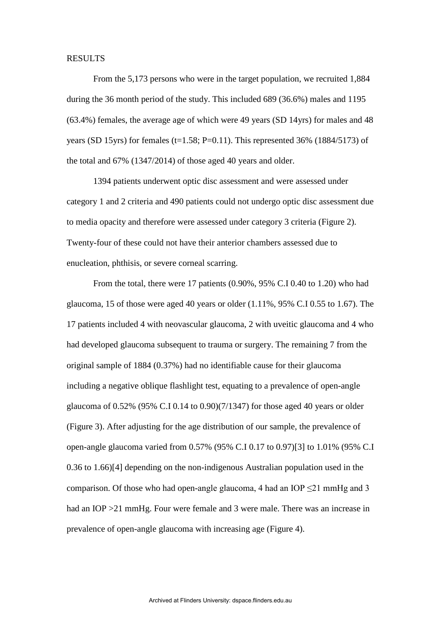### RESULTS

From the 5,173 persons who were in the target population, we recruited 1,884 during the 36 month period of the study. This included 689 (36.6%) males and 1195 (63.4%) females, the average age of which were 49 years (SD 14yrs) for males and 48 years (SD 15yrs) for females (t=1.58; P=0.11). This represented 36% (1884/5173) of the total and 67% (1347/2014) of those aged 40 years and older.

 1394 patients underwent optic disc assessment and were assessed under category 1 and 2 criteria and 490 patients could not undergo optic disc assessment due to media opacity and therefore were assessed under category 3 criteria (Figure 2). Twenty-four of these could not have their anterior chambers assessed due to enucleation, phthisis, or severe corneal scarring.

From the total, there were 17 patients (0.90%, 95% C.I 0.40 to 1.20) who had glaucoma, 15 of those were aged 40 years or older (1.11%, 95% C.I 0.55 to 1.67). The 17 patients included 4 with neovascular glaucoma, 2 with uveitic glaucoma and 4 who had developed glaucoma subsequent to trauma or surgery. The remaining 7 from the original sample of 1884 (0.37%) had no identifiable cause for their glaucoma including a negative oblique flashlight test, equating to a prevalence of open-angle glaucoma of 0.52% (95% C.I 0.14 to 0.90)(7/1347) for those aged 40 years or older (Figure 3). After adjusting for the age distribution of our sample, the prevalence of open-angle glaucoma varied from 0.57% (95% C.I 0.17 to 0.97)[3] to 1.01% (95% C.I 0.36 to 1.66)[4] depending on the non-indigenous Australian population used in the comparison. Of those who had open-angle glaucoma, 4 had an IOP  $\leq$ 21 mmHg and 3 had an IOP > 21 mmHg. Four were female and 3 were male. There was an increase in prevalence of open-angle glaucoma with increasing age (Figure 4).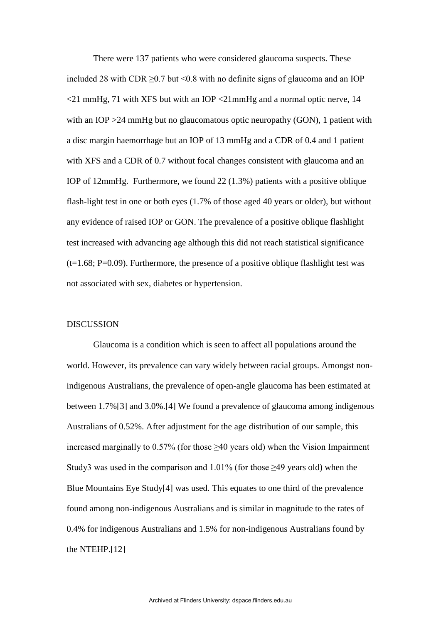There were 137 patients who were considered glaucoma suspects. These included 28 with CDR  $\geq$  0.7 but < 0.8 with no definite signs of glaucoma and an IOP  $\langle$ 21 mmHg, 71 with XFS but with an IOP  $\langle$ 21mmHg and a normal optic nerve, 14 with an IOP > 24 mmHg but no glaucomatous optic neuropathy (GON), 1 patient with a disc margin haemorrhage but an IOP of 13 mmHg and a CDR of 0.4 and 1 patient with XFS and a CDR of 0.7 without focal changes consistent with glaucoma and an IOP of 12mmHg. Furthermore, we found 22 (1.3%) patients with a positive oblique flash-light test in one or both eyes (1.7% of those aged 40 years or older), but without any evidence of raised IOP or GON. The prevalence of a positive oblique flashlight test increased with advancing age although this did not reach statistical significance  $(t=1.68; P=0.09)$ . Furthermore, the presence of a positive oblique flashlight test was not associated with sex, diabetes or hypertension.

#### **DISCUSSION**

Glaucoma is a condition which is seen to affect all populations around the world. However, its prevalence can vary widely between racial groups. Amongst nonindigenous Australians, the prevalence of open-angle glaucoma has been estimated at between 1.7%[3] and 3.0%.[4] We found a prevalence of glaucoma among indigenous Australians of 0.52%. After adjustment for the age distribution of our sample, this increased marginally to  $0.57\%$  (for those  $\geq 40$  years old) when the Vision Impairment Study3 was used in the comparison and  $1.01\%$  (for those  $\geq 49$  years old) when the Blue Mountains Eye Study[4] was used. This equates to one third of the prevalence found among non-indigenous Australians and is similar in magnitude to the rates of 0.4% for indigenous Australians and 1.5% for non-indigenous Australians found by the NTEHP.[12]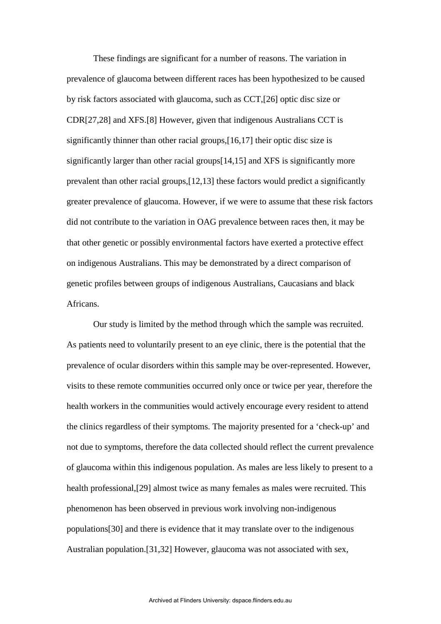These findings are significant for a number of reasons. The variation in prevalence of glaucoma between different races has been hypothesized to be caused by risk factors associated with glaucoma, such as CCT,[26] optic disc size or CDR[27,28] and XFS.[8] However, given that indigenous Australians CCT is significantly thinner than other racial groups,[16,17] their optic disc size is significantly larger than other racial groups[14,15] and XFS is significantly more prevalent than other racial groups,[12,13] these factors would predict a significantly greater prevalence of glaucoma. However, if we were to assume that these risk factors did not contribute to the variation in OAG prevalence between races then, it may be that other genetic or possibly environmental factors have exerted a protective effect on indigenous Australians. This may be demonstrated by a direct comparison of genetic profiles between groups of indigenous Australians, Caucasians and black Africans.

Our study is limited by the method through which the sample was recruited. As patients need to voluntarily present to an eye clinic, there is the potential that the prevalence of ocular disorders within this sample may be over-represented. However, visits to these remote communities occurred only once or twice per year, therefore the health workers in the communities would actively encourage every resident to attend the clinics regardless of their symptoms. The majority presented for a 'check-up' and not due to symptoms, therefore the data collected should reflect the current prevalence of glaucoma within this indigenous population. As males are less likely to present to a health professional,[29] almost twice as many females as males were recruited. This phenomenon has been observed in previous work involving non-indigenous populations[30] and there is evidence that it may translate over to the indigenous Australian population.[31,32] However, glaucoma was not associated with sex,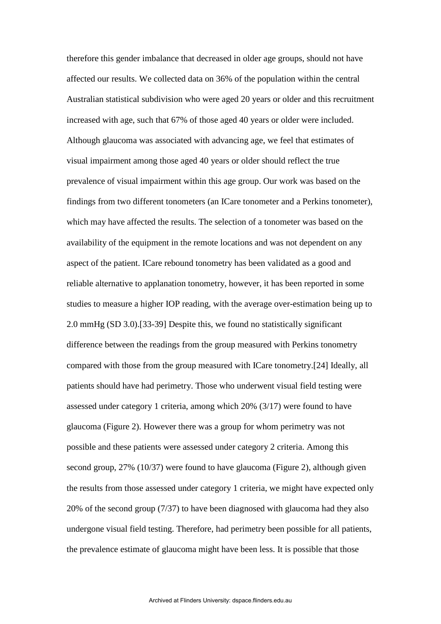therefore this gender imbalance that decreased in older age groups, should not have affected our results. We collected data on 36% of the population within the central Australian statistical subdivision who were aged 20 years or older and this recruitment increased with age, such that 67% of those aged 40 years or older were included. Although glaucoma was associated with advancing age, we feel that estimates of visual impairment among those aged 40 years or older should reflect the true prevalence of visual impairment within this age group. Our work was based on the findings from two different tonometers (an ICare tonometer and a Perkins tonometer), which may have affected the results. The selection of a tonometer was based on the availability of the equipment in the remote locations and was not dependent on any aspect of the patient. ICare rebound tonometry has been validated as a good and reliable alternative to applanation tonometry, however, it has been reported in some studies to measure a higher IOP reading, with the average over-estimation being up to 2.0 mmHg (SD 3.0).[33-39] Despite this, we found no statistically significant difference between the readings from the group measured with Perkins tonometry compared with those from the group measured with ICare tonometry.[24] Ideally, all patients should have had perimetry. Those who underwent visual field testing were assessed under category 1 criteria, among which 20% (3/17) were found to have glaucoma (Figure 2). However there was a group for whom perimetry was not possible and these patients were assessed under category 2 criteria. Among this second group, 27% (10/37) were found to have glaucoma (Figure 2), although given the results from those assessed under category 1 criteria, we might have expected only 20% of the second group (7/37) to have been diagnosed with glaucoma had they also undergone visual field testing. Therefore, had perimetry been possible for all patients, the prevalence estimate of glaucoma might have been less. It is possible that those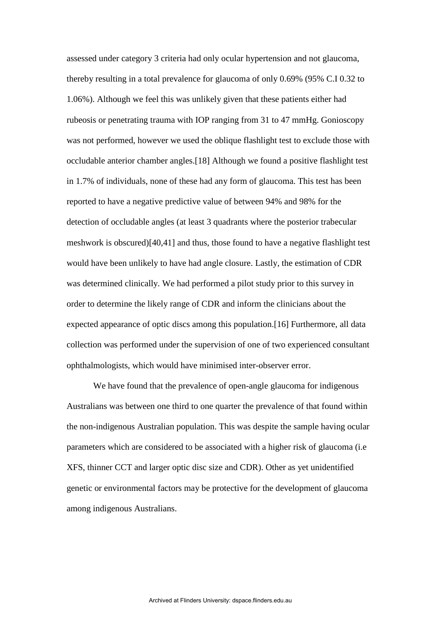assessed under category 3 criteria had only ocular hypertension and not glaucoma, thereby resulting in a total prevalence for glaucoma of only 0.69% (95% C.I 0.32 to 1.06%). Although we feel this was unlikely given that these patients either had rubeosis or penetrating trauma with IOP ranging from 31 to 47 mmHg. Gonioscopy was not performed, however we used the oblique flashlight test to exclude those with occludable anterior chamber angles.[18] Although we found a positive flashlight test in 1.7% of individuals, none of these had any form of glaucoma. This test has been reported to have a negative predictive value of between 94% and 98% for the detection of occludable angles (at least 3 quadrants where the posterior trabecular meshwork is obscured)[40,41] and thus, those found to have a negative flashlight test would have been unlikely to have had angle closure. Lastly, the estimation of CDR was determined clinically. We had performed a pilot study prior to this survey in order to determine the likely range of CDR and inform the clinicians about the expected appearance of optic discs among this population.[16] Furthermore, all data collection was performed under the supervision of one of two experienced consultant ophthalmologists, which would have minimised inter-observer error.

We have found that the prevalence of open-angle glaucoma for indigenous Australians was between one third to one quarter the prevalence of that found within the non-indigenous Australian population. This was despite the sample having ocular parameters which are considered to be associated with a higher risk of glaucoma (i.e XFS, thinner CCT and larger optic disc size and CDR). Other as yet unidentified genetic or environmental factors may be protective for the development of glaucoma among indigenous Australians.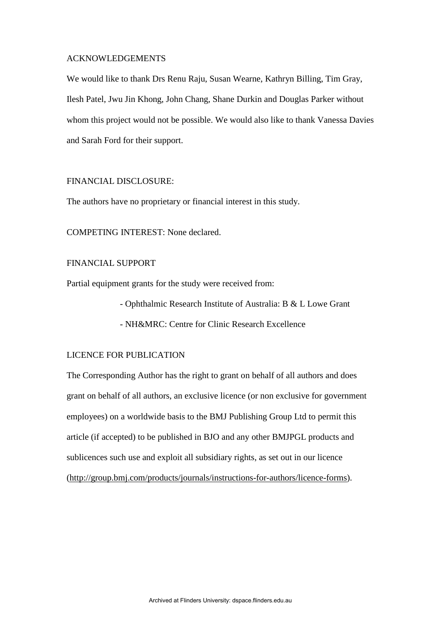### ACKNOWLEDGEMENTS

We would like to thank Drs Renu Raju, Susan Wearne, Kathryn Billing, Tim Gray, Ilesh Patel, Jwu Jin Khong, John Chang, Shane Durkin and Douglas Parker without whom this project would not be possible. We would also like to thank Vanessa Davies and Sarah Ford for their support.

### FINANCIAL DISCLOSURE:

The authors have no proprietary or financial interest in this study.

COMPETING INTEREST: None declared.

# FINANCIAL SUPPORT

Partial equipment grants for the study were received from:

- Ophthalmic Research Institute of Australia: B & L Lowe Grant
- NH&MRC: Centre for Clinic Research Excellence

# LICENCE FOR PUBLICATION

The Corresponding Author has the right to grant on behalf of all authors and does grant on behalf of all authors, an exclusive licence (or non exclusive for government employees) on a worldwide basis to the BMJ Publishing Group Ltd to permit this article (if accepted) to be published in BJO and any other BMJPGL products and sublicences such use and exploit all subsidiary rights, as set out in our licence [\(http://group.bmj.com/products/journals/instructions-for-authors/licence-forms\)](http://group.bmj.com/products/journals/instructions-for-authors/licence-forms).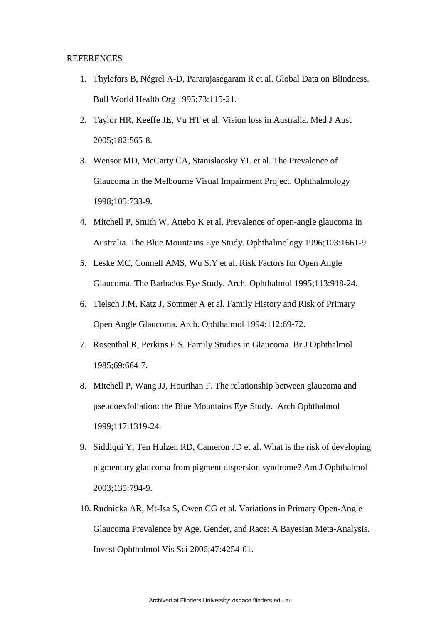### REFERENCES

- 1. Thylefors B, Négrel A-D, Pararajasegaram R et al. Global Data on Blindness. Bull World Health Org 1995;73:115-21.
- 2. Taylor HR, Keeffe JE, Vu HT et al. Vision loss in Australia. Med J Aust 2005;182:565-8.
- 3. Wensor MD, McCarty CA, Stanislaosky YL et al. The Prevalence of Glaucoma in the Melbourne Visual Impairment Project. Ophthalmology 1998;105:733-9.
- 4. Mitchell P, Smith W, Attebo K et al. Prevalence of open-angle glaucoma in Australia. The Blue Mountains Eye Study. Ophthalmology 1996;103:1661-9.
- 5. Leske MC, Connell AMS, Wu S.Y et al. Risk Factors for Open Angle Glaucoma. The Barbados Eye Study. Arch. Ophthalmol 1995;113:918-24.
- 6. Tielsch J.M, Katz J, Sommer A et al. Family History and Risk of Primary Open Angle Glaucoma. Arch. Ophthalmol 1994:112:69-72.
- 7. Rosenthal R, Perkins E.S. Family Studies in Glaucoma. Br J Ophthalmol 1985;69:664-7.
- 8. Mitchell P, Wang JJ, Hourihan F. The relationship between glaucoma and pseudoexfoliation: the Blue Mountains Eye Study. Arch Ophthalmol 1999;117:1319-24.
- 9. Siddiqui Y, Ten Hulzen RD, Cameron JD et al. What is the risk of developing pigmentary glaucoma from pigment dispersion syndrome? Am J Ophthalmol 2003;135:794-9.
- 10. Rudnicka AR, Mt-Isa S, Owen CG et al. Variations in Primary Open-Angle Glaucoma Prevalence by Age, Gender, and Race: A Bayesian Meta-Analysis. Invest Ophthalmol Vis Sci 2006;47:4254-61.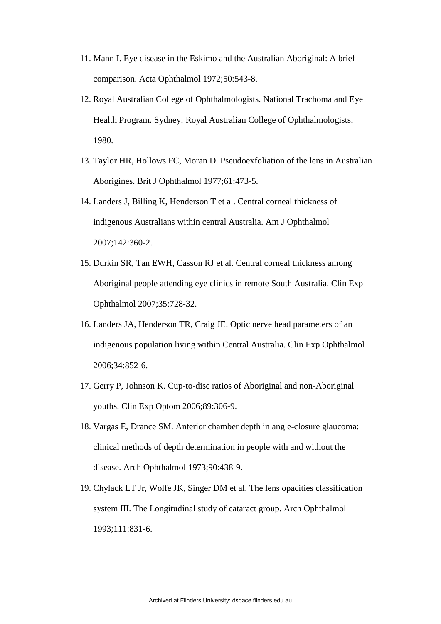- 11. Mann I. Eye disease in the Eskimo and the Australian Aboriginal: A brief comparison. Acta Ophthalmol 1972;50:543-8.
- 12. Royal Australian College of Ophthalmologists. National Trachoma and Eye Health Program. Sydney: Royal Australian College of Ophthalmologists, 1980.
- 13. Taylor HR, Hollows FC, Moran D. Pseudoexfoliation of the lens in Australian Aborigines. Brit J Ophthalmol 1977;61:473-5.
- 14. Landers J, Billing K, Henderson T et al. Central corneal thickness of indigenous Australians within central Australia. Am J Ophthalmol 2007;142:360-2.
- 15. Durkin SR, Tan EWH, Casson RJ et al. Central corneal thickness among Aboriginal people attending eye clinics in remote South Australia. Clin Exp Ophthalmol 2007;35:728-32.
- 16. Landers JA, Henderson TR, Craig JE. Optic nerve head parameters of an indigenous population living within Central Australia. Clin Exp Ophthalmol 2006;34:852-6.
- 17. Gerry P, Johnson K. Cup-to-disc ratios of Aboriginal and non-Aboriginal youths. Clin Exp Optom 2006;89:306-9.
- 18. Vargas E, Drance SM. Anterior chamber depth in angle-closure glaucoma: clinical methods of depth determination in people with and without the disease. Arch Ophthalmol 1973;90:438-9.
- 19. Chylack LT Jr, Wolfe JK, Singer DM et al. The lens opacities classification system III. The Longitudinal study of cataract group. Arch Ophthalmol 1993;111:831-6.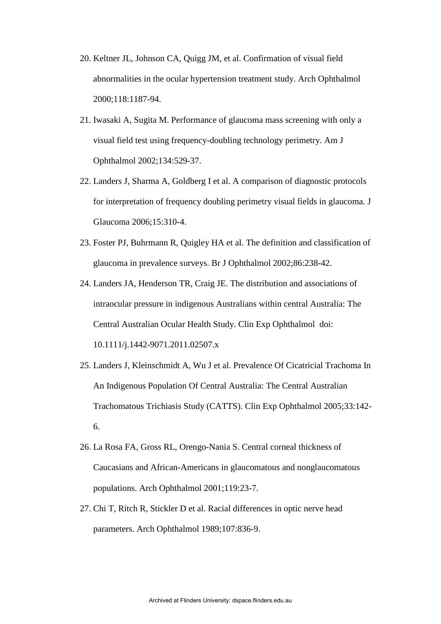- 20. Keltner JL, Johnson CA, Quigg JM, et al. Confirmation of visual field abnormalities in the ocular hypertension treatment study. Arch Ophthalmol 2000;118:1187-94.
- 21. Iwasaki A, Sugita M. Performance of glaucoma mass screening with only a visual field test using frequency-doubling technology perimetry. Am J Ophthalmol 2002;134:529-37.
- 22. Landers J, Sharma A, Goldberg I et al. A comparison of diagnostic protocols for interpretation of frequency doubling perimetry visual fields in glaucoma. J Glaucoma 2006;15:310-4.
- 23. Foster PJ, Buhrmann R, Quigley HA et al. The definition and classification of glaucoma in prevalence surveys. Br J Ophthalmol 2002;86:238-42.
- 24. Landers JA, Henderson TR, Craig JE. The distribution and associations of intraocular pressure in indigenous Australians within central Australia: The Central Australian Ocular Health Study. Clin Exp Ophthalmol doi: 10.1111/j.1442-9071.2011.02507.x
- 25. Landers J, Kleinschmidt A, Wu J et al. Prevalence Of Cicatricial Trachoma In An Indigenous Population Of Central Australia: The Central Australian Trachomatous Trichiasis Study (CATTS). Clin Exp Ophthalmol 2005;33:142- 6.
- 26. La Rosa FA, Gross RL, Orengo-Nania S. Central corneal thickness of Caucasians and African-Americans in glaucomatous and nonglaucomatous populations. Arch Ophthalmol 2001;119:23-7.
- 27. Chi T, Ritch R, Stickler D et al. Racial differences in optic nerve head parameters. Arch Ophthalmol 1989;107:836-9.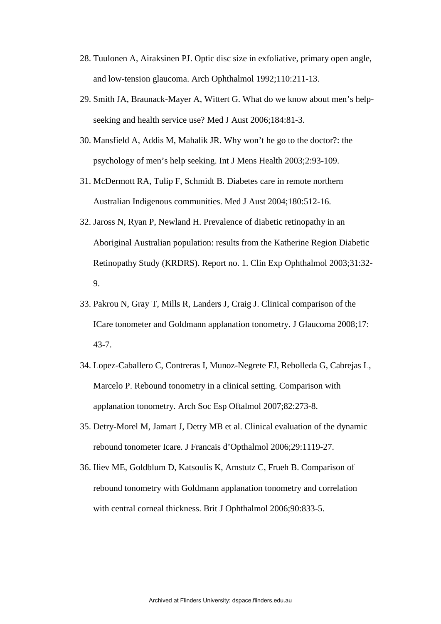- 28. Tuulonen A, Airaksinen PJ. Optic disc size in exfoliative, primary open angle, and low-tension glaucoma. Arch Ophthalmol 1992;110:211-13.
- 29. Smith JA, Braunack-Mayer A, Wittert G. What do we know about men's helpseeking and health service use? Med J Aust 2006;184:81-3.
- 30. Mansfield A, Addis M, Mahalik JR. Why won't he go to the doctor?: the psychology of men's help seeking. Int J Mens Health 2003;2:93-109.
- 31. McDermott RA, Tulip F, Schmidt B. Diabetes care in remote northern Australian Indigenous communities. Med J Aust 2004;180:512-16.
- 32. Jaross N, Ryan P, Newland H. Prevalence of diabetic retinopathy in an Aboriginal Australian population: results from the Katherine Region Diabetic Retinopathy Study (KRDRS). Report no. 1. Clin Exp Ophthalmol 2003;31:32- 9.
- 33. Pakrou N, Gray T, Mills R, Landers J, Craig J. Clinical comparison of the ICare tonometer and Goldmann applanation tonometry. J Glaucoma 2008;17: 43-7.
- 34. Lopez-Caballero C, Contreras I, Munoz-Negrete FJ, Rebolleda G, Cabrejas L, Marcelo P. Rebound tonometry in a clinical setting. Comparison with applanation tonometry. Arch Soc Esp Oftalmol 2007;82:273-8.
- 35. Detry-Morel M, Jamart J, Detry MB et al. Clinical evaluation of the dynamic rebound tonometer Icare. J Francais d'Opthalmol 2006;29:1119-27.
- 36. Iliev ME, Goldblum D, Katsoulis K, Amstutz C, Frueh B. Comparison of rebound tonometry with Goldmann applanation tonometry and correlation with central corneal thickness. Brit J Ophthalmol 2006;90:833-5.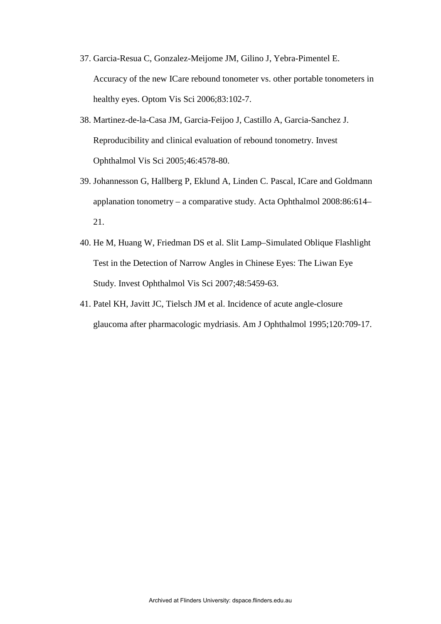- 37. Garcia-Resua C, Gonzalez-Meijome JM, Gilino J, Yebra-Pimentel E. Accuracy of the new ICare rebound tonometer vs. other portable tonometers in healthy eyes. Optom Vis Sci 2006;83:102-7.
- 38. Martinez-de-la-Casa JM, Garcia-Feijoo J, Castillo A, Garcia-Sanchez J. Reproducibility and clinical evaluation of rebound tonometry. Invest Ophthalmol Vis Sci 2005;46:4578-80.
- 39. Johannesson G, Hallberg P, Eklund A, Linden C. Pascal, ICare and Goldmann applanation tonometry – a comparative study. Acta Ophthalmol 2008:86:614– 21.
- 40. He M, Huang W, Friedman DS et al. Slit Lamp–Simulated Oblique Flashlight Test in the Detection of Narrow Angles in Chinese Eyes: The Liwan Eye Study. Invest Ophthalmol Vis Sci 2007;48:5459-63.
- 41. Patel KH, Javitt JC, Tielsch JM et al. Incidence of acute angle-closure glaucoma after pharmacologic mydriasis. Am J Ophthalmol 1995;120:709-17.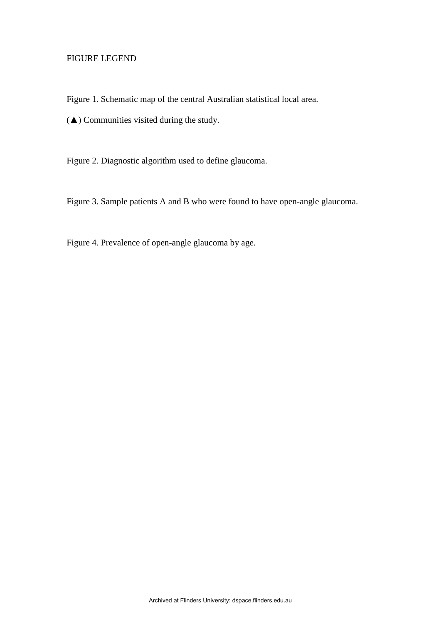# FIGURE LEGEND

Figure 1. Schematic map of the central Australian statistical local area.

(▲) Communities visited during the study.

Figure 2. Diagnostic algorithm used to define glaucoma.

Figure 3. Sample patients A and B who were found to have open-angle glaucoma.

Figure 4. Prevalence of open-angle glaucoma by age.